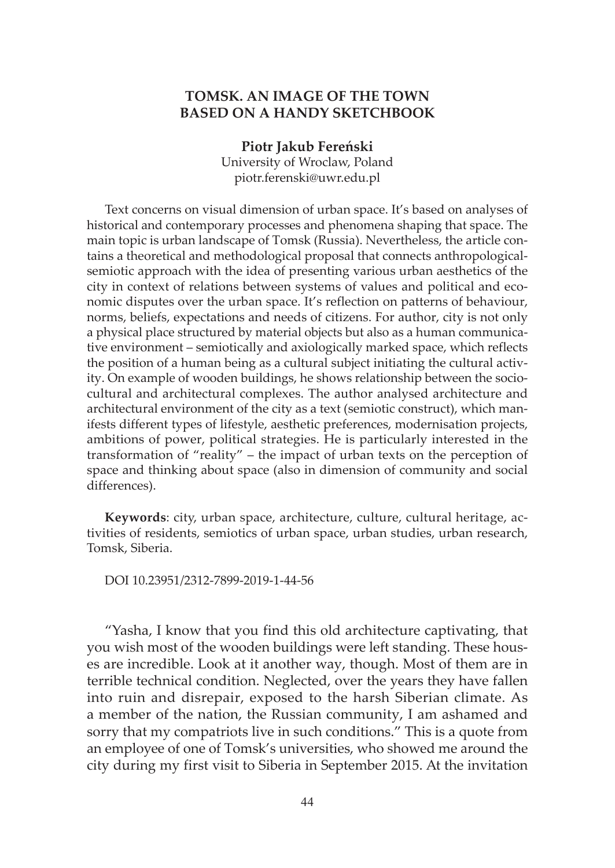## **TOMSK. AN IMAGE OF THE TOWN BASED ON A HANDY SKETCHBOOK**

**Piotr Jakub Fereński** University of Wroclaw, Poland piotr.ferenski@uwr.edu.pl

Text concerns on visual dimension of urban space. It's based on analyses of historical and contemporary processes and phenomena shaping that space. The main topic is urban landscape of Tomsk (Russia). Nevertheless, the article contains a theoretical and methodological proposal that connects anthropologicalsemiotic approach with the idea of presenting various urban aesthetics of the city in context of relations between systems of values and political and economic disputes over the urban space. It's reflection on patterns of behaviour, norms, beliefs, expectations and needs of citizens. For author, city is not only a physical place structured by material objects but also as a human communicative environment – semiotically and axiologically marked space, which reflects the position of a human being as a cultural subject initiating the cultural activity. On example of wooden buildings, he shows relationship between the sociocultural and architectural complexes. The author analysed architecture and architectural environment of the city as a text (semiotic construct), which manifests different types of lifestyle, aesthetic preferences, modernisation projects, ambitions of power, political strategies. He is particularly interested in the transformation of "reality" – the impact of urban texts on the perception of space and thinking about space (also in dimension of community and social differences).

**Keywords**: city, urban space, architecture, culture, cultural heritage, activities of residents, semiotics of urban space, urban studies, urban research, Tomsk, Siberia.

DOI 10.23951/2312-7899-2019-1-44-56

"Yasha, I know that you find this old architecture captivating, that you wish most of the wooden buildings were left standing. These houses are incredible. Look at it another way, though. Most of them are in terrible technical condition. Neglected, over the years they have fallen into ruin and disrepair, exposed to the harsh Siberian climate. As a member of the nation, the Russian community, I am ashamed and sorry that my compatriots live in such conditions." This is a quote from an employee of one of Tomsk's universities, who showed me around the city during my first visit to Siberia in September 2015. At the invitation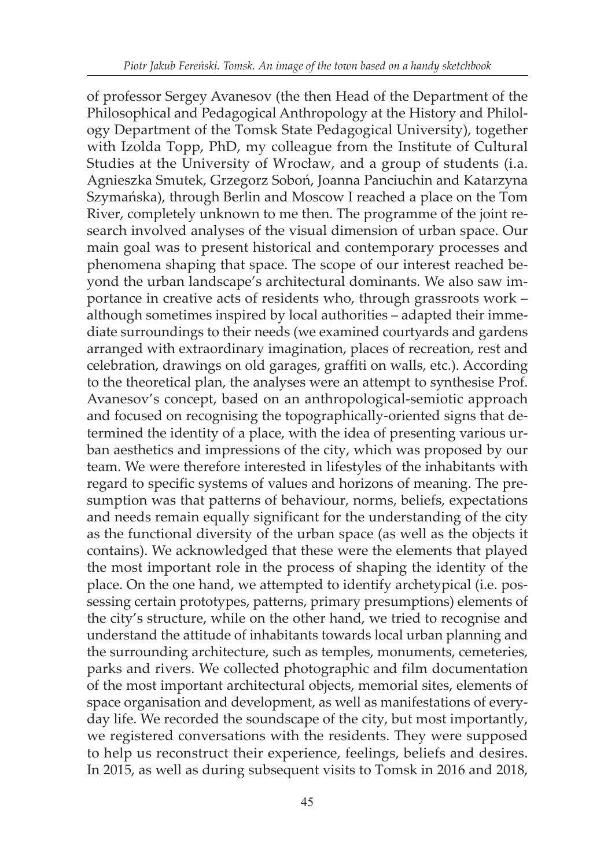of professor Sergey Avanesov (the then Head of the Department of the Philosophical and Pedagogical Anthropology at the History and Philology Department of the Tomsk State Pedagogical University), together with Izolda Topp, PhD, my colleague from the Institute of Cultural Studies at the University of Wrocław, and a group of students (i.a. Agnieszka Smutek, Grzegorz Soboń, Joanna Panciuchin and Katarzyna Szymańska), through Berlin and Moscow I reached a place on the Tom River, completely unknown to me then. The programme of the joint research involved analyses of the visual dimension of urban space. Our main goal was to present historical and contemporary processes and phenomena shaping that space. The scope of our interest reached beyond the urban landscape's architectural dominants. We also saw importance in creative acts of residents who, through grassroots work – although sometimes inspired by local authorities – adapted their immediate surroundings to their needs (we examined courtyards and gardens arranged with extraordinary imagination, places of recreation, rest and celebration, drawings on old garages, graffiti on walls, etc.). According to the theoretical plan, the analyses were an attempt to synthesise Prof. Avanesov's concept, based on an anthropological-semiotic approach and focused on recognising the topographically-oriented signs that determined the identity of a place, with the idea of presenting various urban aesthetics and impressions of the city, which was proposed by our team. We were therefore interested in lifestyles of the inhabitants with regard to specific systems of values and horizons of meaning. The presumption was that patterns of behaviour, norms, beliefs, expectations and needs remain equally significant for the understanding of the city as the functional diversity of the urban space (as well as the objects it contains). We acknowledged that these were the elements that played the most important role in the process of shaping the identity of the place. On the one hand, we attempted to identify archetypical (i.e. possessing certain prototypes, patterns, primary presumptions) elements of the city's structure, while on the other hand, we tried to recognise and understand the attitude of inhabitants towards local urban planning and the surrounding architecture, such as temples, monuments, cemeteries, parks and rivers. We collected photographic and film documentation of the most important architectural objects, memorial sites, elements of space organisation and development, as well as manifestations of everyday life. We recorded the soundscape of the city, but most importantly, we registered conversations with the residents. They were supposed to help us reconstruct their experience, feelings, beliefs and desires. In 2015, as well as during subsequent visits to Tomsk in 2016 and 2018,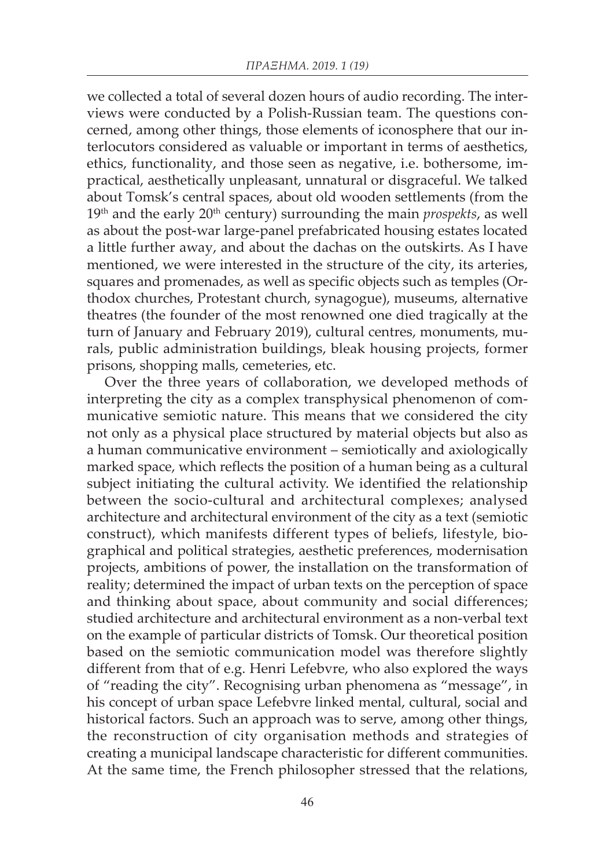we collected a total of several dozen hours of audio recording. The interviews were conducted by a Polish-Russian team. The questions concerned, among other things, those elements of iconosphere that our interlocutors considered as valuable or important in terms of aesthetics, ethics, functionality, and those seen as negative, i.e. bothersome, impractical, aesthetically unpleasant, unnatural or disgraceful. We talked about Tomsk's central spaces, about old wooden settlements (from the  $19<sup>th</sup>$  and the early  $20<sup>th</sup>$  century) surrounding the main *prospekts*, as well as about the post-war large-panel prefabricated housing estates located a little further away, and about the dachas on the outskirts. As I have mentioned, we were interested in the structure of the city, its arteries, squares and promenades, as well as specific objects such as temples (Orthodox churches, Protestant church, synagogue), museums, alternative theatres (the founder of the most renowned one died tragically at the turn of January and February 2019), cultural centres, monuments, murals, public administration buildings, bleak housing projects, former prisons, shopping malls, cemeteries, etc.

Over the three years of collaboration, we developed methods of interpreting the city as a complex transphysical phenomenon of communicative semiotic nature. This means that we considered the city not only as a physical place structured by material objects but also as a human communicative environment – semiotically and axiologically marked space, which reflects the position of a human being as a cultural subject initiating the cultural activity. We identified the relationship between the socio-cultural and architectural complexes; analysed architecture and architectural environment of the city as a text (semiotic construct), which manifests different types of beliefs, lifestyle, biographical and political strategies, aesthetic preferences, modernisation projects, ambitions of power, the installation on the transformation of reality; determined the impact of urban texts on the perception of space and thinking about space, about community and social differences; studied architecture and architectural environment as a non-verbal text on the example of particular districts of Tomsk. Our theoretical position based on the semiotic communication model was therefore slightly different from that of e.g. Henri Lefebvre, who also explored the ways of "reading the city". Recognising urban phenomena as "message", in his concept of urban space Lefebvre linked mental, cultural, social and historical factors. Such an approach was to serve, among other things, the reconstruction of city organisation methods and strategies of creating a municipal landscape characteristic for different communities. At the same time, the French philosopher stressed that the relations,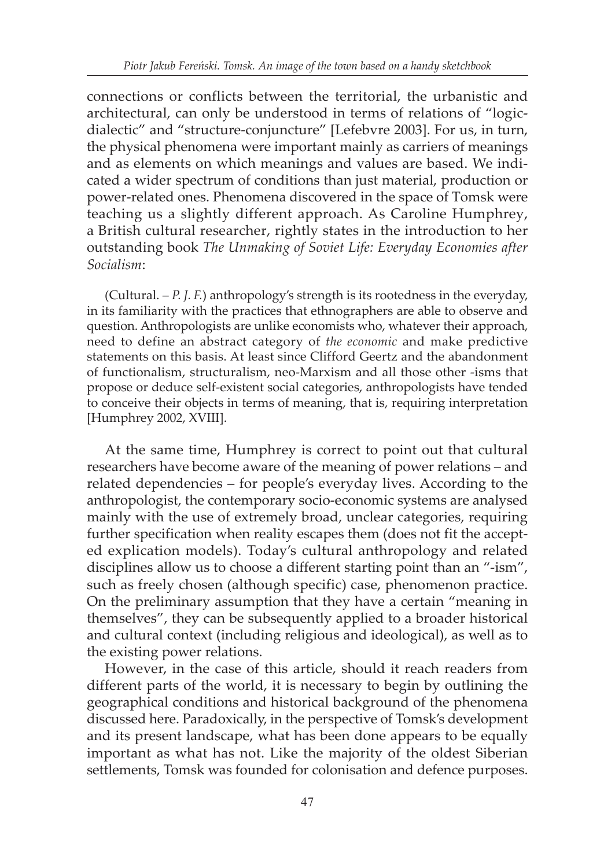connections or conflicts between the territorial, the urbanistic and architectural, can only be understood in terms of relations of "logicdialectic" and "structure-conjuncture" [Lefebvre 2003]. For us, in turn, the physical phenomena were important mainly as carriers of meanings and as elements on which meanings and values are based. We indicated a wider spectrum of conditions than just material, production or power-related ones. Phenomena discovered in the space of Tomsk were teaching us a slightly different approach. As Caroline Humphrey, a British cultural researcher, rightly states in the introduction to her outstanding book *The Unmaking of Soviet Life: Everyday Economies after Socialism*:

(Cultural. – *P. J. F.*) anthropology's strength is its rootedness in the everyday, in its familiarity with the practices that ethnographers are able to observe and question. Anthropologists are unlike economists who, whatever their approach, need to define an abstract category of *the economic* and make predictive statements on this basis. At least since Clifford Geertz and the abandonment of functionalism, structuralism, neo-Marxism and all those other -isms that propose or deduce self-existent social categories, anthropologists have tended to conceive their objects in terms of meaning, that is, requiring interpretation [Humphrey 2002, XVIII].

At the same time, Humphrey is correct to point out that cultural researchers have become aware of the meaning of power relations – and related dependencies – for people's everyday lives. According to the anthropologist, the contemporary socio-economic systems are analysed mainly with the use of extremely broad, unclear categories, requiring further specification when reality escapes them (does not fit the accepted explication models). Today's cultural anthropology and related disciplines allow us to choose a different starting point than an "-ism", such as freely chosen (although specific) case, phenomenon practice. On the preliminary assumption that they have a certain "meaning in themselves", they can be subsequently applied to a broader historical and cultural context (including religious and ideological), as well as to the existing power relations.

However, in the case of this article, should it reach readers from different parts of the world, it is necessary to begin by outlining the geographical conditions and historical background of the phenomena discussed here. Paradoxically, in the perspective of Tomsk's development and its present landscape, what has been done appears to be equally important as what has not. Like the majority of the oldest Siberian settlements, Tomsk was founded for colonisation and defence purposes.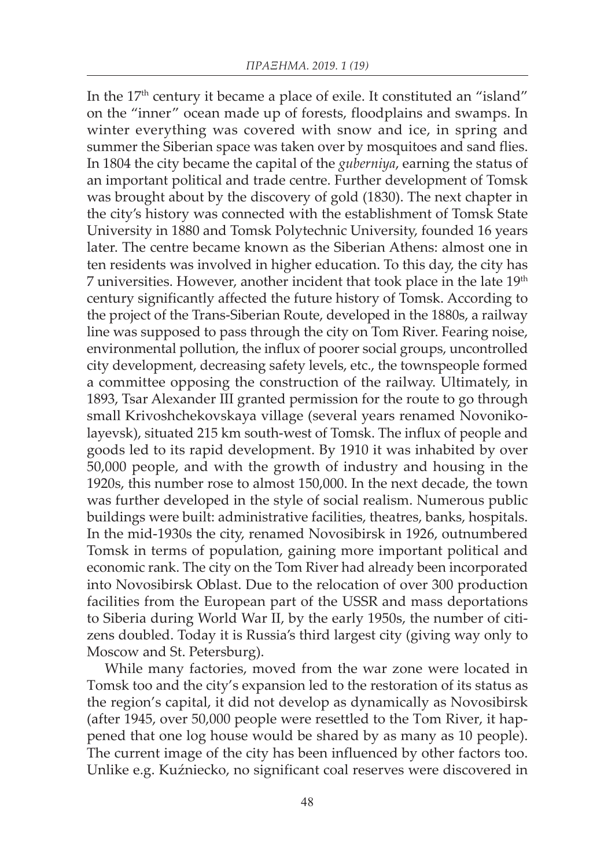In the 17<sup>th</sup> century it became a place of exile. It constituted an "island" on the "inner" ocean made up of forests, floodplains and swamps. In winter everything was covered with snow and ice, in spring and summer the Siberian space was taken over by mosquitoes and sand flies. In 1804 the city became the capital of the *guberniya*, earning the status of an important political and trade centre. Further development of Tomsk was brought about by the discovery of gold (1830). The next chapter in the city's history was connected with the establishment of Tomsk State University in 1880 and Tomsk Polytechnic University, founded 16 years later. The centre became known as the Siberian Athens: almost one in ten residents was involved in higher education. To this day, the city has 7 universities. However, another incident that took place in the late 19<sup>th</sup> century significantly affected the future history of Tomsk. According to the project of the Trans-Siberian Route, developed in the 1880s, a railway line was supposed to pass through the city on Tom River. Fearing noise, environmental pollution, the influx of poorer social groups, uncontrolled city development, decreasing safety levels, etc., the townspeople formed a committee opposing the construction of the railway. Ultimately, in 1893, Tsar Alexander III granted permission for the route to go through small Krivoshchekovskaya village (several years renamed Novonikolayevsk), situated 215 km south-west of Tomsk. The influx of people and goods led to its rapid development. By 1910 it was inhabited by over 50,000 people, and with the growth of industry and housing in the 1920s, this number rose to almost 150,000. In the next decade, the town was further developed in the style of social realism. Numerous public buildings were built: administrative facilities, theatres, banks, hospitals. In the mid-1930s the city, renamed Novosibirsk in 1926, outnumbered Tomsk in terms of population, gaining more important political and economic rank. The city on the Tom River had already been incorporated into Novosibirsk Oblast. Due to the relocation of over 300 production facilities from the European part of the USSR and mass deportations to Siberia during World War II, by the early 1950s, the number of citizens doubled. Today it is Russia's third largest city (giving way only to Moscow and St. Petersburg).

While many factories, moved from the war zone were located in Tomsk too and the city's expansion led to the restoration of its status as the region's capital, it did not develop as dynamically as Novosibirsk (after 1945, over 50,000 people were resettled to the Tom River, it happened that one log house would be shared by as many as 10 people). The current image of the city has been influenced by other factors too. Unlike e.g. Kuźniecko, no significant coal reserves were discovered in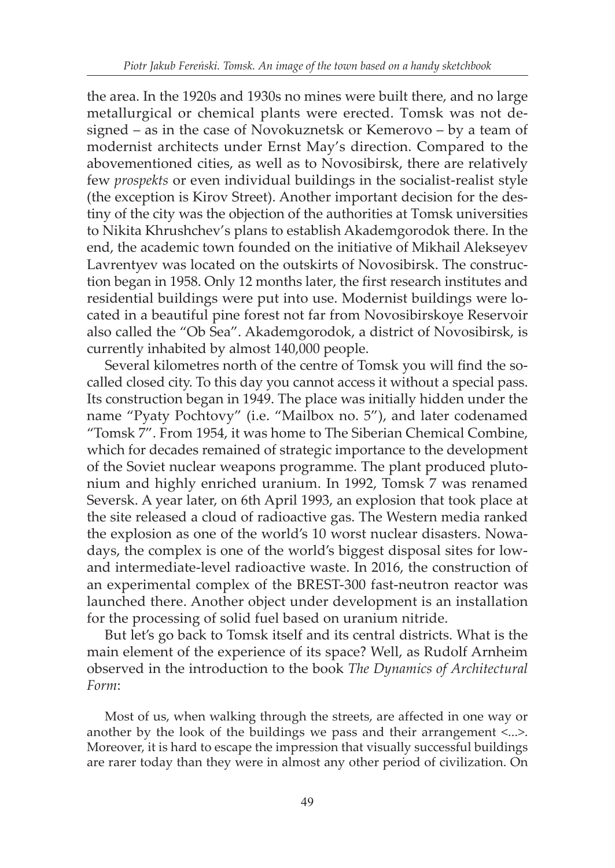the area. In the 1920s and 1930s no mines were built there, and no large metallurgical or chemical plants were erected. Tomsk was not designed – as in the case of Novokuznetsk or Kemerovo – by a team of modernist architects under Ernst May's direction. Compared to the abovementioned cities, as well as to Novosibirsk, there are relatively few *prospekts* or even individual buildings in the socialist-realist style (the exception is Kirov Street). Another important decision for the destiny of the city was the objection of the authorities at Tomsk universities to Nikita Khrushchev's plans to establish Akademgorodok there. In the end, the academic town founded on the initiative of Mikhail Alekseyev Lavrentyev was located on the outskirts of Novosibirsk. The construction began in 1958. Only 12 months later, the first research institutes and residential buildings were put into use. Modernist buildings were located in a beautiful pine forest not far from Novosibirskoye Reservoir also called the "Ob Sea". Akademgorodok, a district of Novosibirsk, is currently inhabited by almost 140,000 people.

Several kilometres north of the centre of Tomsk you will find the socalled closed city. To this day you cannot access it without a special pass. Its construction began in 1949. The place was initially hidden under the name "Pyaty Pochtovy" (i.e. "Mailbox no. 5"), and later codenamed "Tomsk 7". From 1954, it was home to The Siberian Chemical Combine, which for decades remained of strategic importance to the development of the Soviet nuclear weapons programme. The plant produced plutonium and highly enriched uranium. In 1992, Tomsk 7 was renamed Seversk. A year later, on 6th April 1993, an explosion that took place at the site released a cloud of radioactive gas. The Western media ranked the explosion as one of the world's 10 worst nuclear disasters. Nowadays, the complex is one of the world's biggest disposal sites for lowand intermediate-level radioactive waste. In 2016, the construction of an experimental complex of the BREST-300 fast-neutron reactor was launched there. Another object under development is an installation for the processing of solid fuel based on uranium nitride.

But let's go back to Tomsk itself and its central districts. What is the main element of the experience of its space? Well, as Rudolf Arnheim observed in the introduction to the book *The Dynamics of Architectural Form*:

Most of us, when walking through the streets, are affected in one way or another by the look of the buildings we pass and their arrangement <...>. Moreover, it is hard to escape the impression that visually successful buildings are rarer today than they were in almost any other period of civilization. On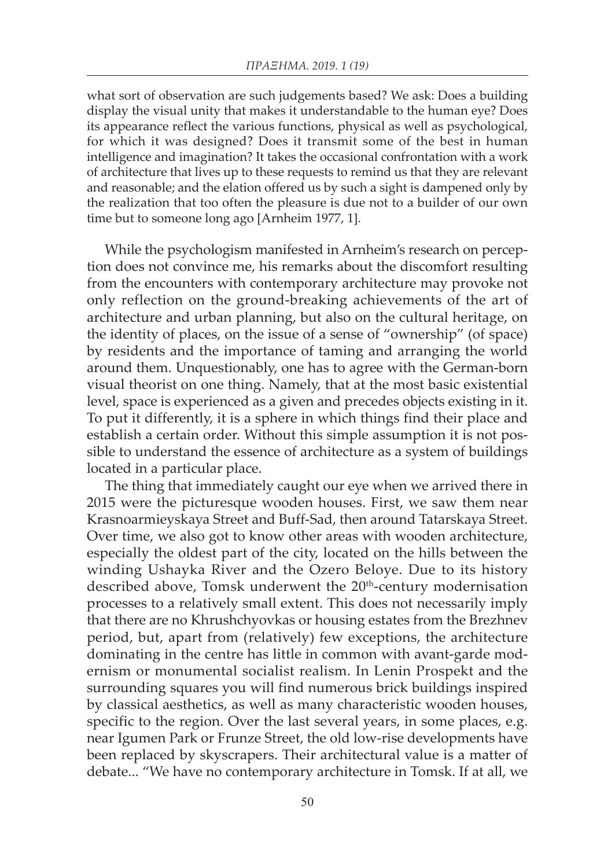what sort of observation are such judgements based? We ask: Does a building display the visual unity that makes it understandable to the human eye? Does its appearance reflect the various functions, physical as well as psychological, for which it was designed? Does it transmit some of the best in human intelligence and imagination? It takes the occasional confrontation with a work of architecture that lives up to these requests to remind us that they are relevant and reasonable; and the elation offered us by such a sight is dampened only by the realization that too often the pleasure is due not to a builder of our own time but to someone long ago [Arnheim 1977, 1].

While the psychologism manifested in Arnheim's research on perception does not convince me, his remarks about the discomfort resulting from the encounters with contemporary architecture may provoke not only reflection on the ground-breaking achievements of the art of architecture and urban planning, but also on the cultural heritage, on the identity of places, on the issue of a sense of "ownership" (of space) by residents and the importance of taming and arranging the world around them. Unquestionably, one has to agree with the German-born visual theorist on one thing. Namely, that at the most basic existential level, space is experienced as a given and precedes objects existing in it. To put it differently, it is a sphere in which things find their place and establish a certain order. Without this simple assumption it is not possible to understand the essence of architecture as a system of buildings located in a particular place.

The thing that immediately caught our eye when we arrived there in 2015 were the picturesque wooden houses. First, we saw them near Krasnoarmieyskaya Street and Buff-Sad, then around Tatarskaya Street. Over time, we also got to know other areas with wooden architecture, especially the oldest part of the city, located on the hills between the winding Ushayka River and the Ozero Beloye. Due to its history described above, Tomsk underwent the 20<sup>th</sup>-century modernisation processes to a relatively small extent. This does not necessarily imply that there are no Khrushchyovkas or housing estates from the Brezhnev period, but, apart from (relatively) few exceptions, the architecture dominating in the centre has little in common with avant-garde modernism or monumental socialist realism. In Lenin Prospekt and the surrounding squares you will find numerous brick buildings inspired by classical aesthetics, as well as many characteristic wooden houses, specific to the region. Over the last several years, in some places, e.g. near Igumen Park or Frunze Street, the old low-rise developments have been replaced by skyscrapers. Their architectural value is a matter of debate... "We have no contemporary architecture in Tomsk. If at all, we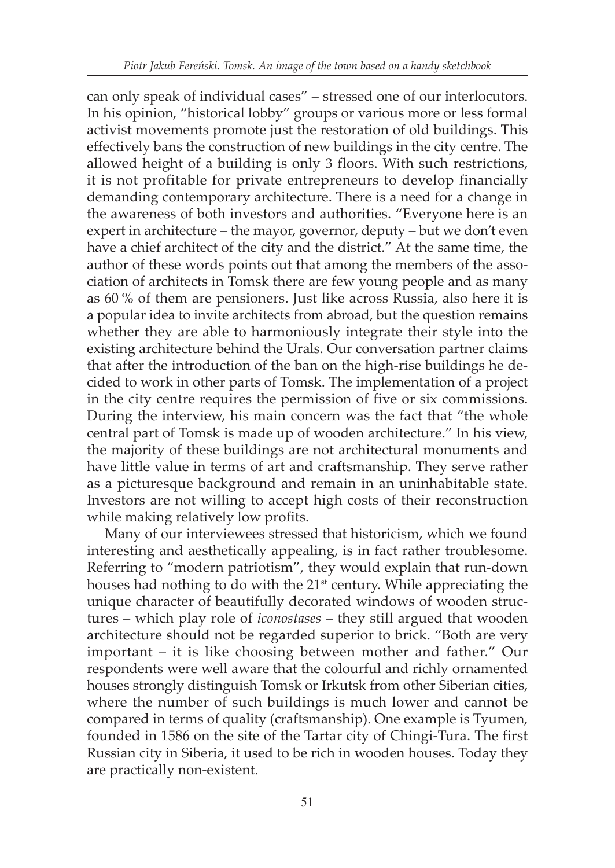can only speak of individual cases" – stressed one of our interlocutors. In his opinion, "historical lobby" groups or various more or less formal activist movements promote just the restoration of old buildings. This effectively bans the construction of new buildings in the city centre. The allowed height of a building is only 3 floors. With such restrictions, it is not profitable for private entrepreneurs to develop financially demanding contemporary architecture. There is a need for a change in the awareness of both investors and authorities. "Everyone here is an expert in architecture – the mayor, governor, deputy – but we don't even have a chief architect of the city and the district." At the same time, the author of these words points out that among the members of the association of architects in Tomsk there are few young people and as many as 60 % of them are pensioners. Just like across Russia, also here it is a popular idea to invite architects from abroad, but the question remains whether they are able to harmoniously integrate their style into the existing architecture behind the Urals. Our conversation partner claims that after the introduction of the ban on the high-rise buildings he decided to work in other parts of Tomsk. The implementation of a project in the city centre requires the permission of five or six commissions. During the interview, his main concern was the fact that "the whole central part of Tomsk is made up of wooden architecture." In his view, the majority of these buildings are not architectural monuments and have little value in terms of art and craftsmanship. They serve rather as a picturesque background and remain in an uninhabitable state. Investors are not willing to accept high costs of their reconstruction while making relatively low profits.

Many of our interviewees stressed that historicism, which we found interesting and aesthetically appealing, is in fact rather troublesome. Referring to "modern patriotism", they would explain that run-down houses had nothing to do with the 21<sup>st</sup> century. While appreciating the unique character of beautifully decorated windows of wooden structures – which play role of *iconostases* – they still argued that wooden architecture should not be regarded superior to brick. "Both are very important – it is like choosing between mother and father." Our respondents were well aware that the colourful and richly ornamented houses strongly distinguish Tomsk or Irkutsk from other Siberian cities, where the number of such buildings is much lower and cannot be compared in terms of quality (craftsmanship). One example is Tyumen, founded in 1586 on the site of the Tartar city of Chingi-Tura. The first Russian city in Siberia, it used to be rich in wooden houses. Today they are practically non-existent.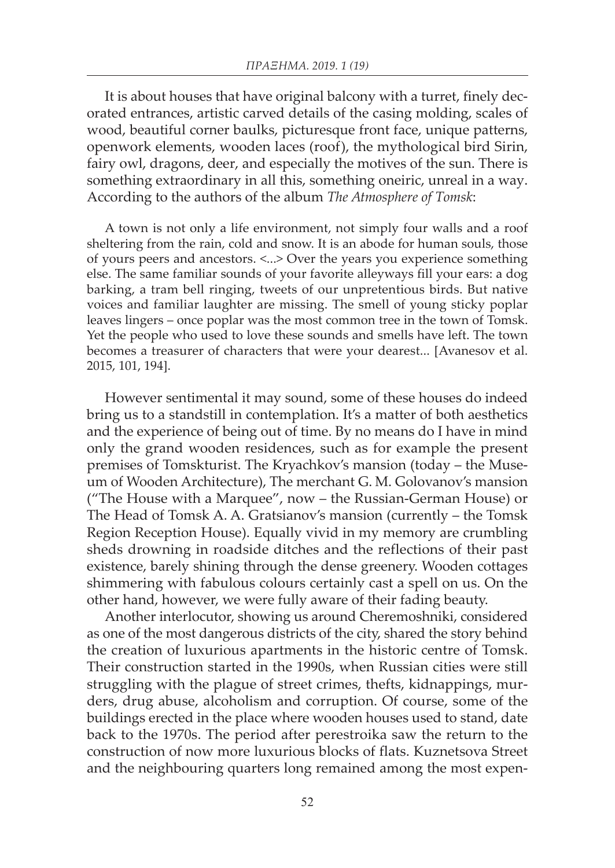It is about houses that have original balcony with a turret, finely decorated entrances, artistic carved details of the casing molding, scales of wood, beautiful corner baulks, picturesque front face, unique patterns, openwork elements, wooden laces (roof), the mythological bird Sirin, fairy owl, dragons, deer, and especially the motives of the sun. There is something extraordinary in all this, something oneiric, unreal in a way. According to the authors of the album *The Atmosphere of Tomsk*:

A town is not only a life environment, not simply four walls and a roof sheltering from the rain, cold and snow. It is an abode for human souls, those of yours peers and ancestors. <...> Over the years you experience something else. The same familiar sounds of your favorite alleyways fill your ears: a dog barking, a tram bell ringing, tweets of our unpretentious birds. But native voices and familiar laughter are missing. The smell of young sticky poplar leaves lingers – once poplar was the most common tree in the town of Tomsk. Yet the people who used to love these sounds and smells have left. The town becomes a treasurer of characters that were your dearest... [Avanesov et al. 2015, 101, 194].

However sentimental it may sound, some of these houses do indeed bring us to a standstill in contemplation. It's a matter of both aesthetics and the experience of being out of time. By no means do I have in mind only the grand wooden residences, such as for example the present premises of Tomskturist. The Kryachkov's mansion (today – the Museum of Wooden Architecture), The merchant G. M. Golovanov's mansion ("The House with a Marquee", now – the Russian-German House) or The Head of Tomsk A. A. Gratsianov's mansion (currently – the Tomsk Region Reception House). Equally vivid in my memory are crumbling sheds drowning in roadside ditches and the reflections of their past existence, barely shining through the dense greenery. Wooden cottages shimmering with fabulous colours certainly cast a spell on us. On the other hand, however, we were fully aware of their fading beauty.

Another interlocutor, showing us around Cheremoshniki, considered as one of the most dangerous districts of the city, shared the story behind the creation of luxurious apartments in the historic centre of Tomsk. Their construction started in the 1990s, when Russian cities were still struggling with the plague of street crimes, thefts, kidnappings, murders, drug abuse, alcoholism and corruption. Of course, some of the buildings erected in the place where wooden houses used to stand, date back to the 1970s. The period after perestroika saw the return to the construction of now more luxurious blocks of flats. Kuznetsova Street and the neighbouring quarters long remained among the most expen-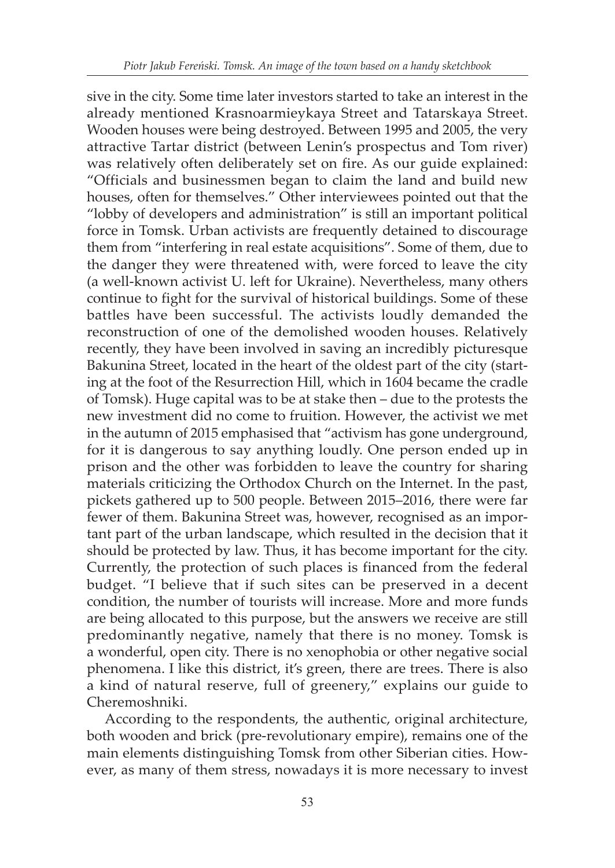sive in the city. Some time later investors started to take an interest in the already mentioned Krasnoarmieykaya Street and Tatarskaya Street. Wooden houses were being destroyed. Between 1995 and 2005, the very attractive Tartar district (between Lenin's prospectus and Tom river) was relatively often deliberately set on fire. As our guide explained: "Officials and businessmen began to claim the land and build new houses, often for themselves." Other interviewees pointed out that the "lobby of developers and administration" is still an important political force in Tomsk. Urban activists are frequently detained to discourage them from "interfering in real estate acquisitions". Some of them, due to the danger they were threatened with, were forced to leave the city (a well-known activist U. left for Ukraine). Nevertheless, many others continue to fight for the survival of historical buildings. Some of these battles have been successful. The activists loudly demanded the reconstruction of one of the demolished wooden houses. Relatively recently, they have been involved in saving an incredibly picturesque Bakunina Street, located in the heart of the oldest part of the city (starting at the foot of the Resurrection Hill, which in 1604 became the cradle of Tomsk). Huge capital was to be at stake then – due to the protests the new investment did no come to fruition. However, the activist we met in the autumn of 2015 emphasised that "activism has gone underground, for it is dangerous to say anything loudly. One person ended up in prison and the other was forbidden to leave the country for sharing materials criticizing the Orthodox Church on the Internet. In the past, pickets gathered up to 500 people. Between 2015–2016, there were far fewer of them. Bakunina Street was, however, recognised as an important part of the urban landscape, which resulted in the decision that it should be protected by law. Thus, it has become important for the city. Currently, the protection of such places is financed from the federal budget. "I believe that if such sites can be preserved in a decent condition, the number of tourists will increase. More and more funds are being allocated to this purpose, but the answers we receive are still predominantly negative, namely that there is no money. Tomsk is a wonderful, open city. There is no xenophobia or other negative social phenomena. I like this district, it's green, there are trees. There is also a kind of natural reserve, full of greenery," explains our guide to Cheremoshniki.

According to the respondents, the authentic, original architecture, both wooden and brick (pre-revolutionary empire), remains one of the main elements distinguishing Tomsk from other Siberian cities. However, as many of them stress, nowadays it is more necessary to invest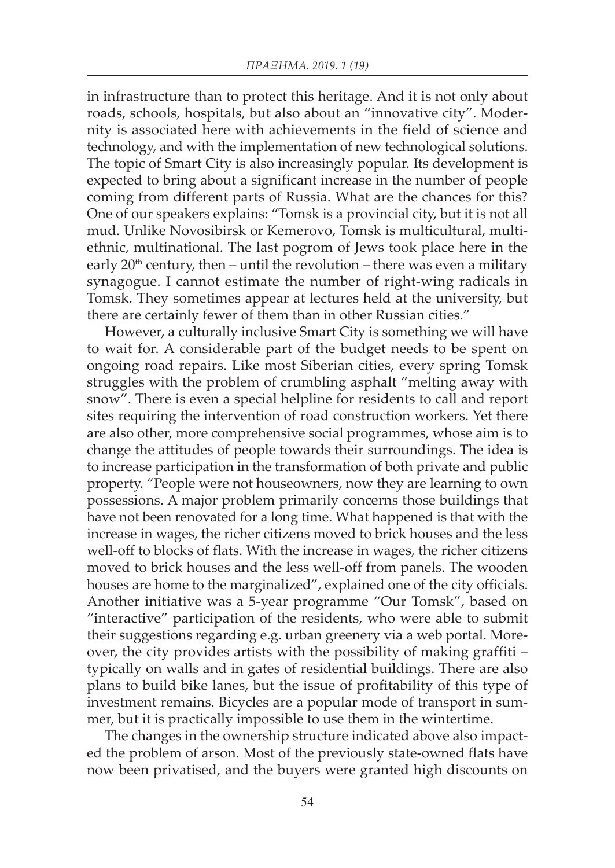in infrastructure than to protect this heritage. And it is not only about roads, schools, hospitals, but also about an "innovative city". Modernity is associated here with achievements in the field of science and technology, and with the implementation of new technological solutions. The topic of Smart City is also increasingly popular. Its development is expected to bring about a significant increase in the number of people coming from different parts of Russia. What are the chances for this? One of our speakers explains: "Tomsk is a provincial city, but it is not all mud. Unlike Novosibirsk or Kemerovo, Tomsk is multicultural, multiethnic, multinational. The last pogrom of Jews took place here in the early  $20<sup>th</sup>$  century, then – until the revolution – there was even a military synagogue. I cannot estimate the number of right-wing radicals in Tomsk. They sometimes appear at lectures held at the university, but there are certainly fewer of them than in other Russian cities."

However, a culturally inclusive Smart City is something we will have to wait for. A considerable part of the budget needs to be spent on ongoing road repairs. Like most Siberian cities, every spring Tomsk struggles with the problem of crumbling asphalt "melting away with snow". There is even a special helpline for residents to call and report sites requiring the intervention of road construction workers. Yet there are also other, more comprehensive social programmes, whose aim is to change the attitudes of people towards their surroundings. The idea is to increase participation in the transformation of both private and public property. "People were not houseowners, now they are learning to own possessions. A major problem primarily concerns those buildings that have not been renovated for a long time. What happened is that with the increase in wages, the richer citizens moved to brick houses and the less well-off to blocks of flats. With the increase in wages, the richer citizens moved to brick houses and the less well-off from panels. The wooden houses are home to the marginalized", explained one of the city officials. Another initiative was a 5-year programme "Our Tomsk", based on "interactive" participation of the residents, who were able to submit their suggestions regarding e.g. urban greenery via a web portal. Moreover, the city provides artists with the possibility of making graffiti – typically on walls and in gates of residential buildings. There are also plans to build bike lanes, but the issue of profitability of this type of investment remains. Bicycles are a popular mode of transport in summer, but it is practically impossible to use them in the wintertime.

The changes in the ownership structure indicated above also impacted the problem of arson. Most of the previously state-owned flats have now been privatised, and the buyers were granted high discounts on

54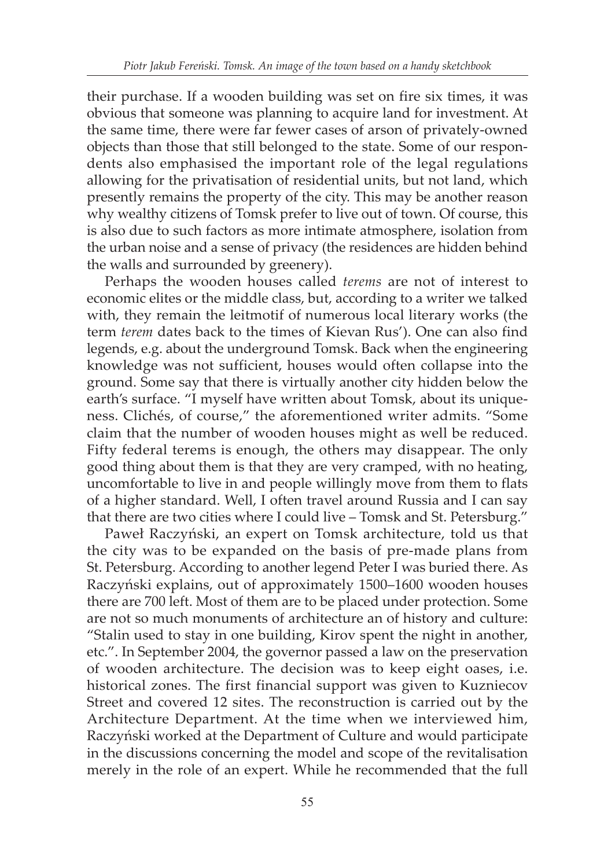their purchase. If a wooden building was set on fire six times, it was obvious that someone was planning to acquire land for investment. At the same time, there were far fewer cases of arson of privately-owned objects than those that still belonged to the state. Some of our respondents also emphasised the important role of the legal regulations allowing for the privatisation of residential units, but not land, which presently remains the property of the city. This may be another reason why wealthy citizens of Tomsk prefer to live out of town. Of course, this is also due to such factors as more intimate atmosphere, isolation from the urban noise and a sense of privacy (the residences are hidden behind the walls and surrounded by greenery).

Perhaps the wooden houses called *terems* are not of interest to economic elites or the middle class, but, according to a writer we talked with, they remain the leitmotif of numerous local literary works (the term *terem* dates back to the times of Kievan Rus'). One can also find legends, e.g. about the underground Tomsk. Back when the engineering knowledge was not sufficient, houses would often collapse into the ground. Some say that there is virtually another city hidden below the earth's surface. "I myself have written about Tomsk, about its uniqueness. Clichés, of course," the aforementioned writer admits. "Some claim that the number of wooden houses might as well be reduced. Fifty federal terems is enough, the others may disappear. The only good thing about them is that they are very cramped, with no heating, uncomfortable to live in and people willingly move from them to flats of a higher standard. Well, I often travel around Russia and I can say that there are two cities where I could live – Tomsk and St. Petersburg."

Paweł Raczyński, an expert on Tomsk architecture, told us that the city was to be expanded on the basis of pre-made plans from St. Petersburg. According to another legend Peter I was buried there. As Raczyński explains, out of approximately 1500–1600 wooden houses there are 700 left. Most of them are to be placed under protection. Some are not so much monuments of architecture an of history and culture: "Stalin used to stay in one building, Kirov spent the night in another, etc.". In September 2004, the governor passed a law on the preservation of wooden architecture. The decision was to keep eight oases, i.e. historical zones. The first financial support was given to Kuzniecov Street and covered 12 sites. The reconstruction is carried out by the Architecture Department. At the time when we interviewed him, Raczyński worked at the Department of Culture and would participate in the discussions concerning the model and scope of the revitalisation merely in the role of an expert. While he recommended that the full